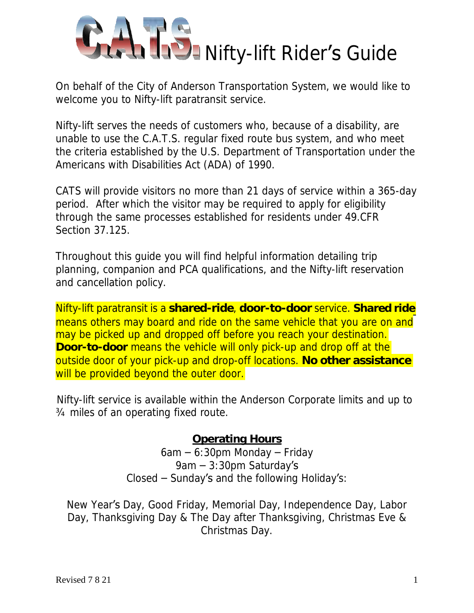

On behalf of the City of Anderson Transportation System, we would like to welcome you to Nifty-lift paratransit service.

Nifty-lift serves the needs of customers who, because of a disability, are unable to use the C.A.T.S. regular fixed route bus system, and who meet the criteria established by the U.S. Department of Transportation under the Americans with Disabilities Act (ADA) of 1990.

CATS will provide visitors no more than 21 days of service within a 365-day period. After which the visitor may be required to apply for eligibility through the same processes established for residents under 49.CFR Section 37.125.

Throughout this guide you will find helpful information detailing trip planning, companion and PCA qualifications, and the Nifty-lift reservation and cancellation policy.

Nifty-lift paratransit is a **shared-ride**, **door-to-door** service. **Shared ride** means others may board and ride on the same vehicle that you are on and may be picked up and dropped off before you reach your destination. **Door-to-door** means the vehicle will only pick-up and drop off at the outside door of your pick-up and drop-off locations. **No other assistance** will be provided beyond the outer door.

Nifty-lift service is available within the Anderson Corporate limits and up to ¾ miles of an operating fixed route.

#### **Operating Hours**

6am – 6:30pm Monday – Friday 9am – 3:30pm Saturday's Closed – Sunday's and the following Holiday's:

New Year's Day, Good Friday, Memorial Day, Independence Day, Labor Day, Thanksgiving Day & The Day after Thanksgiving, Christmas Eve & Christmas Day.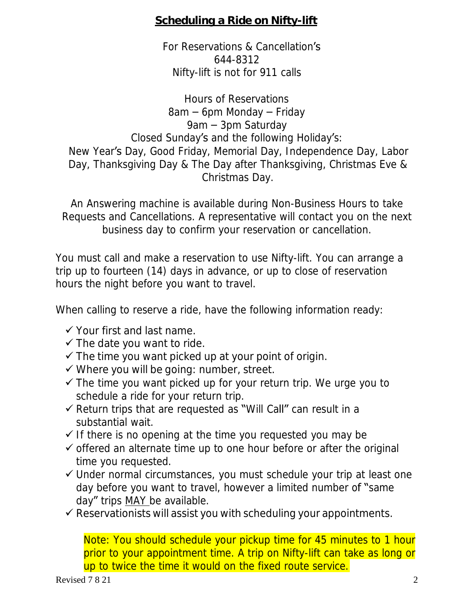#### **Scheduling a Ride on Nifty-lift**

For Reservations & Cancellation's 644-8312 Nifty-lift is not for 911 calls

Hours of Reservations 8am – 6pm Monday – Friday 9am – 3pm Saturday Closed Sunday's and the following Holiday's: New Year's Day, Good Friday, Memorial Day, Independence Day, Labor Day, Thanksgiving Day & The Day after Thanksgiving, Christmas Eve & Christmas Day.

An Answering machine is available during Non-Business Hours to take Requests and Cancellations. A representative will contact you on the next business day to confirm your reservation or cancellation.

You must call and make a reservation to use Nifty-lift. You can arrange a trip up to fourteen (14) days in advance, or up to close of reservation hours the night before you want to travel.

When calling to reserve a ride, have the following information ready:

- ✓ Your first and last name.
- $\checkmark$  The date you want to ride.
- $\checkmark$  The time you want picked up at your point of origin.
- ✓ Where you will be going: number, street.
- $\checkmark$  The time you want picked up for your return trip. We urge you to schedule a ride for your return trip.
- ✓ Return trips that are requested as "Will Call" can result in a substantial wait.
- $\checkmark$  If there is no opening at the time you requested you may be
- ✓ offered an alternate time up to one hour before or after the original time you requested.
- ✓ Under normal circumstances, you must schedule your trip at least one day before you want to travel, however a limited number of "same day" trips MAY be available.
- $\checkmark$  Reservationists will assist you with scheduling your appointments.

Note: You should schedule your pickup time for 45 minutes to 1 hour prior to your appointment time. A trip on Nifty-lift can take as long or up to twice the time it would on the fixed route service.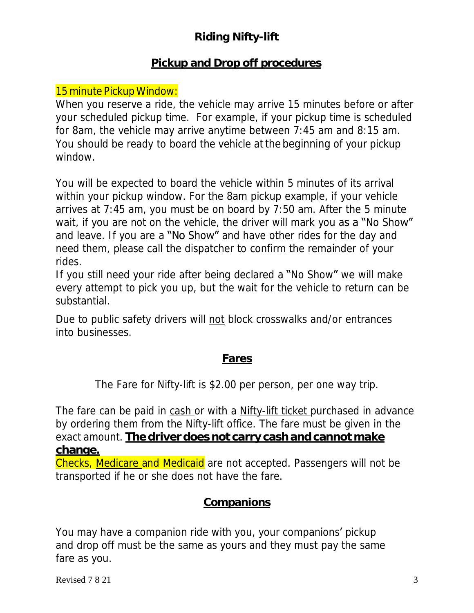# **Riding Nifty-lift**

### **Pickup and Drop off procedures**

### 15 minute Pickup Window:

When you reserve a ride, the vehicle may arrive 15 minutes before or after your scheduled pickup time. For example, if your pickup time is scheduled for 8am, the vehicle may arrive anytime between 7:45 am and 8:15 am. You should be ready to board the vehicle at the beginning of your pickup window.

You will be expected to board the vehicle within 5 minutes of its arrival within your pickup window. For the 8am pickup example, if your vehicle arrives at 7:45 am, you must be on board by 7:50 am. After the 5 minute wait, if you are not on the vehicle, the driver will mark you as a "No Show" and leave. If you are a "No Show" and have other rides for the day and need them, please call the dispatcher to confirm the remainder of your rides.

If you still need your ride after being declared a "No Show" we will make every attempt to pick you up, but the wait for the vehicle to return can be substantial.

Due to public safety drivers will not block crosswalks and/or entrances into businesses.

### **Fares**

The Fare for Nifty-lift is \$2.00 per person, per one way trip.

The fare can be paid in cash or with a Nifty-lift ticket purchased in advance by ordering them from the Nifty-lift office. The fare must be given in the exact amount. **The driver does not carry cash and cannot make change.**

Checks, Medicare and Medicaid are not accepted. Passengers will not be transported if he or she does not have the fare.

### **Companions**

You may have a companion ride with you, your companions' pickup and drop off must be the same as yours and they must pay the same fare as you.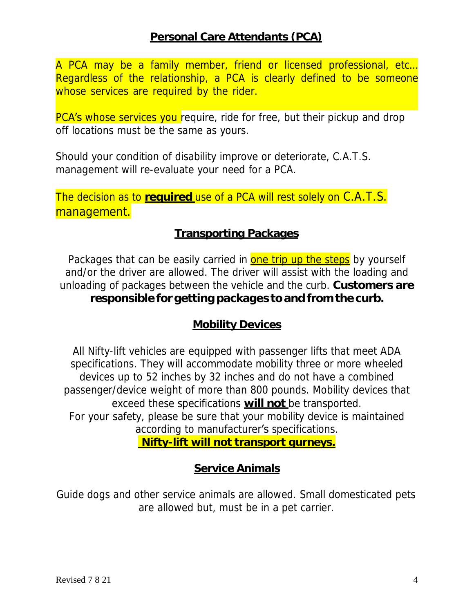A PCA may be a family member, friend or licensed professional, etc… Regardless of the relationship, a PCA is clearly defined to be someone whose services are required by the rider.

PCA's whose services you require, ride for free, but their pickup and drop off locations must be the same as yours.

Should your condition of disability improve or deteriorate, C.A.T.S. management will re-evaluate your need for a PCA.

The decision as to **required** use of a PCA will rest solely on C.A.T.S. management.

#### **Transporting Packages**

Packages that can be easily carried in one trip up the steps by yourself and/or the driver are allowed. The driver will assist with the loading and unloading of packages between the vehicle and the curb. **Customers are responsible for getting packages to and from the curb.**

#### **Mobility Devices**

All Nifty-lift vehicles are equipped with passenger lifts that meet ADA specifications. They will accommodate mobility three or more wheeled devices up to 52 inches by 32 inches and do not have a combined passenger/device weight of more than 800 pounds. Mobility devices that exceed these specifications **will not** be transported. For your safety, please be sure that your mobility device is maintained according to manufacturer's specifications. **Nifty-lift will not transport gurneys.**

#### **Service Animals**

Guide dogs and other service animals are allowed. Small domesticated pets are allowed but, must be in a pet carrier.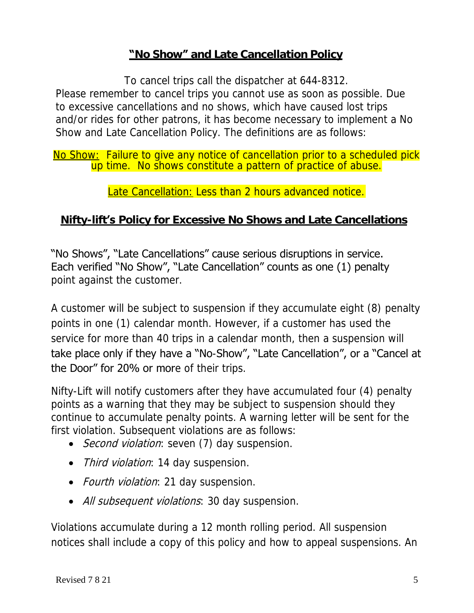### **"No Show" and Late Cancellation Policy**

To cancel trips call the dispatcher at 644-8312. Please remember to cancel trips you cannot use as soon as possible. Due to excessive cancellations and no shows, which have caused lost trips and/or rides for other patrons, it has become necessary to implement a No Show and Late Cancellation Policy. The definitions are as follows:

No Show: Failure to give any notice of cancellation prior to a scheduled pick up time. No shows constitute a pattern of practice of abuse.

Late Cancellation: Less than 2 hours advanced notice.

 **Nifty-lift's Policy for Excessive No Shows and Late Cancellations**

"No Shows", "Late Cancellations" cause serious disruptions in service. Each verified "No Show", "Late Cancellation" counts as one (1) penalty point against the customer.

A customer will be subject to suspension if they accumulate eight (8) penalty points in one (1) calendar month. However, if a customer has used the service for more than 40 trips in a calendar month, then a suspension will take place only if they have a "No-Show", "Late Cancellation", or a "Cancel at the Door" for 20% or more of their trips.

Nifty-Lift will notify customers after they have accumulated four (4) penalty points as a warning that they may be subject to suspension should they continue to accumulate penalty points. A warning letter will be sent for the first violation. Subsequent violations are as follows:

- *Second violation*: seven (7) day suspension.
- Third violation: 14 day suspension.
- Fourth violation: 21 day suspension.
- All subsequent violations: 30 day suspension.

Violations accumulate during a 12 month rolling period. All suspension notices shall include a copy of this policy and how to appeal suspensions. An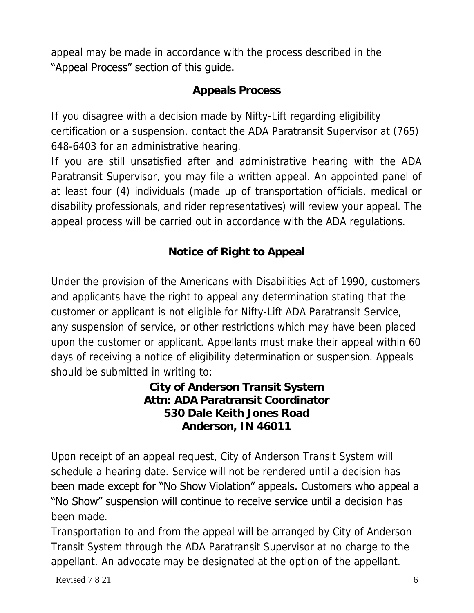appeal may be made in accordance with the process described in the "Appeal Process" section of this guide.

## **Appeals Process**

If you disagree with a decision made by Nifty-Lift regarding eligibility certification or a suspension, contact the ADA Paratransit Supervisor at (765) 648-6403 for an administrative hearing.

If you are still unsatisfied after and administrative hearing with the ADA Paratransit Supervisor, you may file a written appeal. An appointed panel of at least four (4) individuals (made up of transportation officials, medical or disability professionals, and rider representatives) will review your appeal. The appeal process will be carried out in accordance with the ADA regulations.

**Notice of Right to Appeal**

Under the provision of the Americans with Disabilities Act of 1990, customers and applicants have the right to appeal any determination stating that the customer or applicant is not eligible for Nifty-Lift ADA Paratransit Service, any suspension of service, or other restrictions which may have been placed upon the customer or applicant. Appellants must make their appeal within 60 days of receiving a notice of eligibility determination or suspension. Appeals should be submitted in writing to:

> **City of Anderson Transit System Attn: ADA Paratransit Coordinator 530 Dale Keith Jones Road Anderson, IN 46011**

Upon receipt of an appeal request, City of Anderson Transit System will schedule a hearing date. Service will not be rendered until a decision has been made except for "No Show Violation" appeals. Customers who appeal a "No Show" suspension will continue to receive service until a decision has been made.

Transportation to and from the appeal will be arranged by City of Anderson Transit System through the ADA Paratransit Supervisor at no charge to the appellant. An advocate may be designated at the option of the appellant.

Revised 7 8 21  $\sim$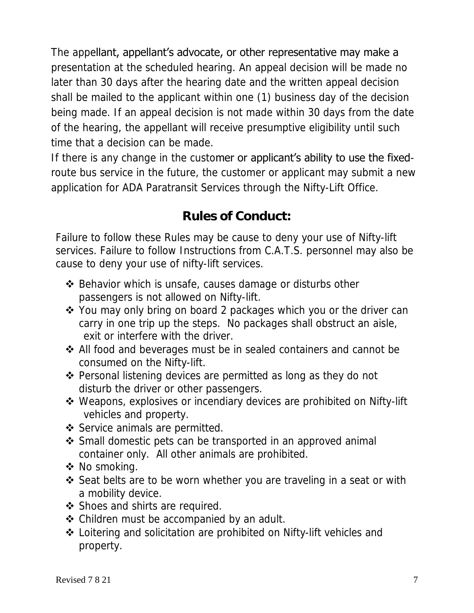The appellant, appellant's advocate, or other representative may make a presentation at the scheduled hearing. An appeal decision will be made no later than 30 days after the hearing date and the written appeal decision shall be mailed to the applicant within one (1) business day of the decision being made. If an appeal decision is not made within 30 days from the date of the hearing, the appellant will receive presumptive eligibility until such time that a decision can be made.

If there is any change in the customer or applicant's ability to use the fixedroute bus service in the future, the customer or applicant may submit a new application for ADA Paratransit Services through the Nifty-Lift Office.

# **Rules of Conduct:**

Failure to follow these Rules may be cause to deny your use of Nifty-lift services. Failure to follow Instructions from C.A.T.S. personnel may also be cause to deny your use of nifty-lift services.

- ❖ Behavior which is unsafe, causes damage or disturbs other passengers is not allowed on Nifty-lift.
- ❖ You may only bring on board 2 packages which you or the driver can carry in one trip up the steps. No packages shall obstruct an aisle, exit or interfere with the driver.
- ❖ All food and beverages must be in sealed containers and cannot be consumed on the Nifty-lift.
- ❖ Personal listening devices are permitted as long as they do not disturb the driver or other passengers.
- ❖ Weapons, explosives or incendiary devices are prohibited on Nifty-lift vehicles and property.
- ❖ Service animals are permitted.
- ❖ Small domestic pets can be transported in an approved animal container only. All other animals are prohibited.
- ❖ No smoking.
- ❖ Seat belts are to be worn whether you are traveling in a seat or with a mobility device.
- ❖ Shoes and shirts are required.
- ❖ Children must be accompanied by an adult.
- ❖ Loitering and solicitation are prohibited on Nifty-lift vehicles and property.